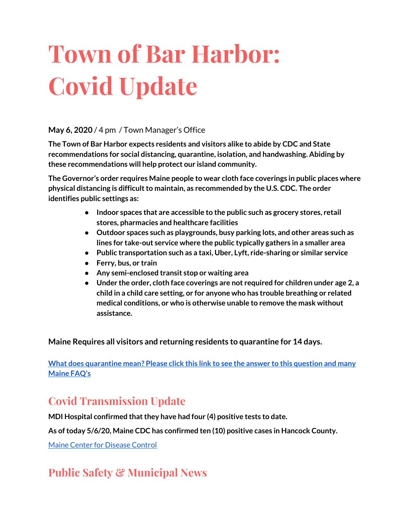# **Town of Bar Harbor: Covid Update**

#### **May 6, 2020** / 4 pm / Town Manager's Office

**The Town of Bar Harbor expects residents and visitors alike to abide by CDC and State recommendations for social distancing, quarantine, isolation, and handwashing. Abiding by these recommendations will help protect our island community.**

**The Governor's order requires Maine people to wear cloth face coverings in public places where physical distancing is difficultto maintain, as recommended by the U.S. CDC. The order identifies public settings as:**

- **● Indoor spaces that are accessible to the public such as grocery stores, retail stores, pharmacies and healthcare facilities**
- **● Outdoor spaces such as playgrounds, busy parking lots, and other areas such as lines for take-out service where the public typically gathers in a smaller area**
- **● Public transportation such as a taxi, Uber, Lyft, ride-sharing or similar service**
- **● Ferry, bus, or train**
- **● Any semi-enclosed transit stop or waiting area**
- **● Under the order, cloth face coverings are not required for children under age 2, a child in a child care setting, or for anyone who has trouble breathing or related medical conditions, or who is otherwise unable to remove the mask without assistance.**

**Maine Requires all visitors and returning residents to quarantine for 14 days.**

**What does [quarantine](https://www.maine.gov/dhhs/mecdc/infectious-disease/epi/airborne/coronavirus.shtml#faq) mean? Please click this link to see the answer to this question and many [Maine](https://www.maine.gov/dhhs/mecdc/infectious-disease/epi/airborne/coronavirus.shtml#faq) FAQ's**

## **Covid Transmission Update**

**MDI Hospital confirmed thatthey have had four (4) positive tests to date.**

**As oftoday 5/6/20, Maine CDC has confirmed ten (10) positive cases in Hancock County.**

Maine Center for [Disease](https://www.maine.gov/dhhs/mecdc/infectious-disease/epi/airborne/coronavirus.shtml) Control

# **Public Safety & Municipal News**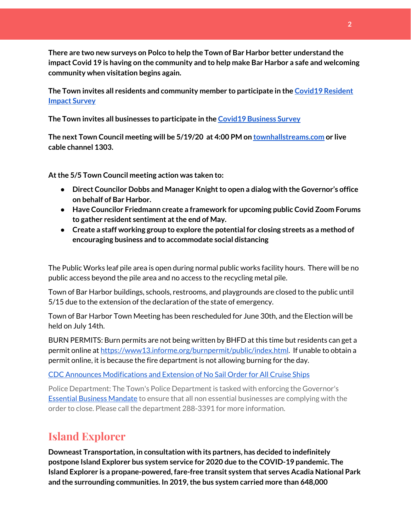**There are two new surveys on Polco to help the Town of Bar Harbor better understand the impact Covid 19 is having on the community and to help make Bar Harbor a safe and welcoming community when visitation begins again.**

**The Town invites all residents and community member to participate in the [C](https://polco.us/surveys/90178e75-6be4-45c6-819c-07052b97ab32?iid=9dedcb78-dd36-40ed-a81b-a88709e391cc)ovid19 [Resident](https://polco.us/surveys/90178e75-6be4-45c6-819c-07052b97ab32?iid=9dedcb78-dd36-40ed-a81b-a88709e391cc) [Impact](https://polco.us/surveys/90178e75-6be4-45c6-819c-07052b97ab32?iid=9dedcb78-dd36-40ed-a81b-a88709e391cc) Survey**

**The Town invites all businesses to participate in the Covid19 [Business](https://polco.us/surveys/96ab7f5d-a644-42b5-965d-f4a3d11c6ea7?iid=9dedcb78-dd36-40ed-a81b-a88709e391cc) Survey**

**The next Town Council meeting will be 5/19/20 at 4:00 PM on [townhallstreams.com](http://townhallstreams.com/) or live cable channel 1303.**

**Atthe 5/5 Town Council meeting action was taken to:**

- **• Direct Councilor Dobbs** and Manager Knight to open a dialog with the Governor's office **on behalf of Bar Harbor.**
- **● Have Councilor Friedmann create a framework for upcoming public Covid Zoom Forums to gather resident sentiment atthe end of May.**
- **● Create a staff working group to explore the potential for closing streets as a method of encouraging business and to accommodate social distancing**

The Public Works leaf pile area is open during normal public works facility hours. There will be no public access beyond the pile area and no access to the recycling metal pile.

Town of Bar Harbor buildings, schools, restrooms, and playgrounds are closed to the public until 5/15 due to the extension of the declaration of the state of emergency.

Town of Bar Harbor Town Meeting has been rescheduled for June 30th, and the Election will be held on July 14th.

BURN PERMITS: Burn permits are not being written by BHFD at this time but residents can get a permit online at [https://www13.informe.org/burnpermit/public/index.html.](https://www13.informe.org/burnpermit/public/index.html) If unable to obtain a permit online, it is because the fire department is not allowing burning for the day.

#### CDC Announces [Modifications](https://www.cdc.gov/media/releases/2020/s0409-modifications-extension-no-sail-ships.html) and Extension of No Sail Order for All Cruise Ships

Police Department: The Town's Police Department is tasked with enforcing the Governor's Essential Business [Mandate](https://www.maine.gov/governor/mills/sites/maine.gov.governor.mills/files/inline-files/An%20Order%20Regarding%20Essential%20Businesses%20and%20Operations%20.pdf) to ensure that all non essential businesses are complying with the order to close. Please call the department 288-3391 for more information.

# **Island Explorer**

**Downeast Transportation, in consultation with its partners, has decided to indefinitely postpone Island Explorer bus system service for 2020 due to the COVID-19 pandemic. The Island Explorer is a propane-powered, fare-free transit system that serves Acadia National Park and the surrounding communities. In 2019,the bus system carried more than 648,000**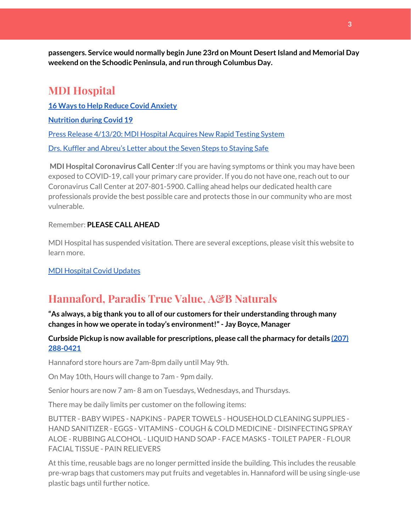**passengers. Service would normally begin June 23rd on Mount DesertIsland and Memorial Day weekend on the Schoodic Peninsula, and run through Columbus Day.**

# **MDI Hospital**

**16 Ways to Help Reduce Covid [Anxiety](https://www.mdihospital.org/news/16-ways-to-help-reduce-covid-19-anxiety/)**

**[Nutrition](https://www.mdihospital.org/news/16-ways-to-help-reduce-covid-19-anxiety/) during Covid 19**

Press Release [4/13/20:](https://www.mdihospital.org/news/mount-desert-island-hospital-acquires-cepheid-genexpert-rapid-point-of-care-testing-system-for-the-new-coronavirus-and-many-other-infectious-diseases/) MDI Hospital Acquires New Rapid Testing System

Drs. Kuffler and [Abreu's](https://www.mdislander.com/opinions/commentary-seven-steps-to-staying-safe) Letter about the Seven Steps to Staying Safe

**MDI Hospital Coronavirus Call Center :**If you are having symptoms or think you may have been exposed to COVID-19, call your primary care provider. If you do not have one, reach out to our Coronavirus Call Center at 207-801-5900. Calling ahead helps our dedicated health care professionals provide the best possible care and protects those in our community who are most vulnerable.

#### Remember: **PLEASE CALL AHEAD**

MDI Hospital has suspended visitation. There are several exceptions, please visit this website to learn more.

MDI [Hospital](https://www.mdihospital.org/covid-19/?fbclid=IwAR2Q31t4a6H1pxDfUeqSzFcmp5UbRlSwe93i58zEkHstfexp5EgoHB5cxGU) Covid Updates

# **Hannaford, Paradis True Value, A&B Naturals**

**"As always, a big thank you to all of our customers for their understanding through many changes in how we operate in today's environment!"- Jay Boyce, Manager**

#### **Curbside Pickup is now available for prescriptions, please callthe pharmacy for details [\(207\)](https://www.google.com/search?client=firefox-b-1-d&q=hannaford+pharmacy+bar+harbor#) [288-0421](https://www.google.com/search?client=firefox-b-1-d&q=hannaford+pharmacy+bar+harbor#)**

Hannaford store hours are 7am-8pm daily until May 9th.

On May 10th, Hours will change to 7am - 9pm daily.

Senior hours are now 7 am- 8 am on Tuesdays, Wednesdays, and Thursdays.

There may be daily limits per customer on the following items:

BUTTER - BABY WIPES - NAPKINS - PAPER TOWELS - HOUSEHOLD CLEANING SUPPLIES - HAND SANITIZER - EGGS - VITAMINS - COUGH & COLD MEDICINE - DISINFECTING SPRAY ALOE - RUBBING ALCOHOL - LIQUID HAND SOAP - FACE MASKS - TOILET PAPER - FLOUR FACIAL TISSUE - PAIN RELIEVERS

At this time, reusable bags are no longer permitted inside the building. This includes the reusable pre-wrap bags that customers may put fruits and vegetables in. Hannaford will be using single-use plastic bags until further notice.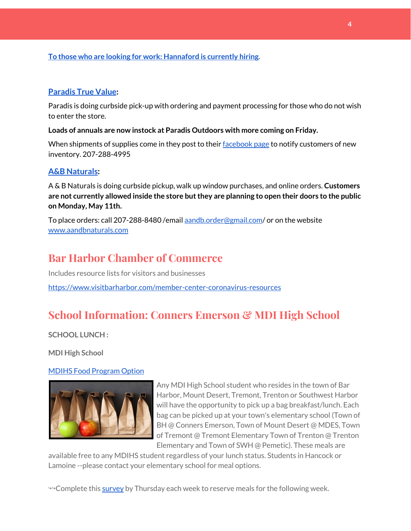#### **To those who are looking for work: [Hannaford](https://www.hannaford.com/about-us/careers) is currently hiring.**

#### **[Paradis](https://www.facebook.com/ParadisTrueValue/) True Value:**

Paradis is doing curbside pick-up with ordering and payment processing for those who do not wish to enter the store.

**Loads of annuals are now instock at Paradis Outdoors with more coming on Friday.**

When shipments of supplies come in they post to their [facebook](https://www.facebook.com/ParadisTrueValue/) page to notify customers of new inventory. 207-288-4995

#### **A&B [Naturals:](http://aandbnaturals.com/)**

A & B Naturals is doing curbside pickup, walk up window purchases, and online orders. **Customers are not currently allowed inside the store butthey are planning to open their doors to the public on Monday, May 11th.**

To place orders: call 207-288-8480/email [aandb.order@gmail.com](mailto:aandb.order@gmail.com)/ or on the website [www.aandbnaturals.com](http://www.aandbnaturals.com/)

# **Bar Harbor Chamber of Commerce**

Includes resource lists for visitors and businesses <https://www.visitbarharbor.com/member-center-coronavirus-resources>

# **School Information: Conners Emerson & MDI High School**

**SCHOOL LUNCH :**

**MDI High School**

#### MDIHS Food [Program](http://www.createsurvey.com/c/83380-7yUuuZ/) Option



Any MDI High School student who resides in the town of Bar Harbor, Mount Desert, Tremont, Trenton or Southwest Harbor will have the opportunity to pick up a bag breakfast/lunch. Each bag can be picked up at your town's elementary school (Town of BH @ Conners Emerson, Town of Mount Desert @ MDES, Town of Tremont @ Tremont Elementary Town of Trenton @ Trenton Elementary and Town of SWH @ Pemetic). These meals are

available free to any MDIHS student regardless of your lunch status. Students in Hancock or Lamoine --please contact your elementary school for meal options.

<sup>→→</sup>Complete this [survey](http://www.createsurvey.com/c/83380-7yUuuZ/) by Thursday each week to reserve meals for the following week.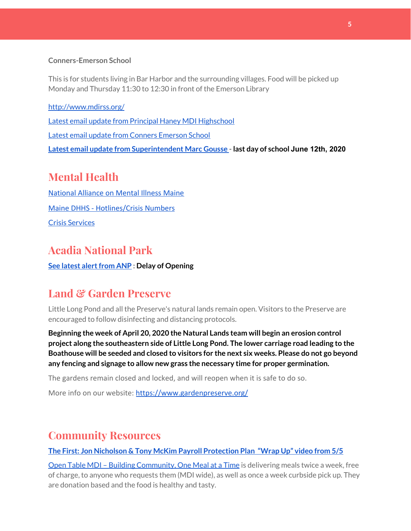#### **Conners-Emerson School**

This is for students living in Bar Harbor and the surrounding villages. Food will be picked up Monday and Thursday 11:30 to 12:30 in front of the Emerson Library

<http://www.mdirss.org/> Latest email update from Principal Haney MDI [Highschool](https://docs.google.com/document/d/1OKDsYNtOgV0FI9xAcXwQvenOKLV0S2vBg1o5jtu5CrE/edit?usp=sharing) Latest email update from Conners [Emerson](https://docs.google.com/document/d/1v3pgkG6Q-9S3gisuUIj4etPVDwgBKl4P00JBkvZr-kk/edit?usp=sharing) School **Latest email update from [Superintendent](https://docs.google.com/document/d/1fzeCbc8gpTSKmUaDoQH1Avx5PVl-h0reFphXrT1eUNA/edit?usp=sharing) Marc Gousse - last day of school June 12th, 2020**

# **Mental Health**

[National Alliance on Mental Illness Maine](https://www.namimaine.org/) [Maine DHHS - Hotlines/Crisis Numbers](https://www.maine.gov/dhhs/hotlines.shtml) Crisis [Services](https://www.sweetser.org/programs-services/services-for-adults/crisis-services/)

## **Acadia National Park**

**See latest [alertfrom](https://www.nps.gov/acad/learn/news/delaying-start-up-operations.htm) ANP : Delay of Opening**

## **Land & Garden Preserve**

Little Long Pond and all the Preserve's natural lands remain open. Visitors to the Preserve are encouraged to follow disinfecting and distancing protocols.

**Beginning the week of April 20, 2020 the Natural Lands team will begin an erosion control project along the southeastern side of Little Long Pond. The lower carriage road leading to the Boathouse will be seeded and closed to visitors for the next six weeks. Please do not go beyond any fencing and signage to allow new grass the necessary time for proper germination.**

The gardens remain closed and locked, and will reopen when it is safe to do so.

More info on our website: <https://www.gardenpreserve.org/>

## **Community Resources**

**The First: Jon Nicholson & Tony McKim Payroll [Protection](https://bit.ly/2WjDrd0) Plan "Wrap Up" video from 5/5**

Open Table MDI – Building [Community,](https://www.opentablemdi.org/) One Meal at a Time is delivering meals twice a week, free of charge, to anyone who requests them (MDI wide), as well as once a week curbside pick up. They are donation based and the food is healthy and tasty.